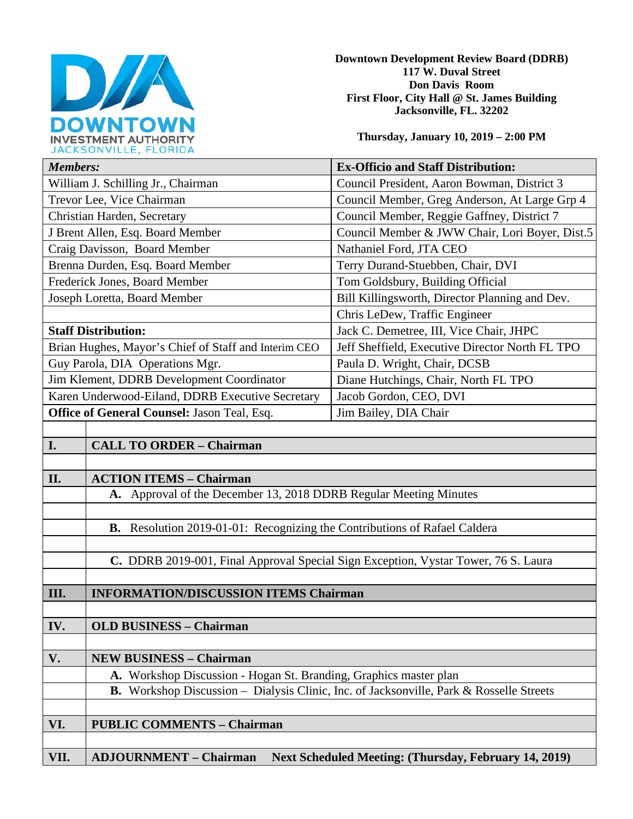

**Downtown Development Review Board (DDRB) 117 W. Duval Street Don Davis Room First Floor, City Hall @ St. James Building Jacksonville, FL. 32202** 

**Thursday, January 10, 2019 – 2:00 PM**

| JACRJUNVILLE, FLUNIDA                                |                                                                                                |                                                              |
|------------------------------------------------------|------------------------------------------------------------------------------------------------|--------------------------------------------------------------|
| <b>Members:</b>                                      |                                                                                                | <b>Ex-Officio and Staff Distribution:</b>                    |
| William J. Schilling Jr., Chairman                   |                                                                                                | Council President, Aaron Bowman, District 3                  |
| Trevor Lee, Vice Chairman                            |                                                                                                | Council Member, Greg Anderson, At Large Grp 4                |
| Christian Harden, Secretary                          |                                                                                                | Council Member, Reggie Gaffney, District 7                   |
| J Brent Allen, Esq. Board Member                     |                                                                                                | Council Member & JWW Chair, Lori Boyer, Dist.5               |
| Craig Davisson, Board Member                         |                                                                                                | Nathaniel Ford, JTA CEO                                      |
| Brenna Durden, Esq. Board Member                     |                                                                                                | Terry Durand-Stuebben, Chair, DVI                            |
| Frederick Jones, Board Member                        |                                                                                                | Tom Goldsbury, Building Official                             |
| Joseph Loretta, Board Member                         |                                                                                                | Bill Killingsworth, Director Planning and Dev.               |
|                                                      |                                                                                                | Chris LeDew, Traffic Engineer                                |
| <b>Staff Distribution:</b>                           |                                                                                                | Jack C. Demetree, III, Vice Chair, JHPC                      |
| Brian Hughes, Mayor's Chief of Staff and Interim CEO |                                                                                                | Jeff Sheffield, Executive Director North FL TPO              |
| Guy Parola, DIA Operations Mgr.                      |                                                                                                | Paula D. Wright, Chair, DCSB                                 |
| Jim Klement, DDRB Development Coordinator            |                                                                                                | Diane Hutchings, Chair, North FL TPO                         |
| Karen Underwood-Eiland, DDRB Executive Secretary     |                                                                                                | Jacob Gordon, CEO, DVI                                       |
| Office of General Counsel: Jason Teal, Esq.          |                                                                                                | Jim Bailey, DIA Chair                                        |
|                                                      |                                                                                                |                                                              |
| I.                                                   | <b>CALL TO ORDER - Chairman</b>                                                                |                                                              |
|                                                      |                                                                                                |                                                              |
| II.                                                  | <b>ACTION ITEMS - Chairman</b>                                                                 |                                                              |
|                                                      | A. Approval of the December 13, 2018 DDRB Regular Meeting Minutes                              |                                                              |
|                                                      |                                                                                                |                                                              |
|                                                      | B. Resolution 2019-01-01: Recognizing the Contributions of Rafael Caldera                      |                                                              |
|                                                      |                                                                                                |                                                              |
|                                                      | C. DDRB 2019-001, Final Approval Special Sign Exception, Vystar Tower, 76 S. Laura             |                                                              |
|                                                      |                                                                                                |                                                              |
| III.                                                 | <b>INFORMATION/DISCUSSION ITEMS Chairman</b>                                                   |                                                              |
|                                                      |                                                                                                |                                                              |
| IV.                                                  | <b>OLD BUSINESS - Chairman</b>                                                                 |                                                              |
|                                                      |                                                                                                |                                                              |
| V.                                                   | <b>NEW BUSINESS - Chairman</b>                                                                 |                                                              |
|                                                      | A. Workshop Discussion - Hogan St. Branding, Graphics master plan                              |                                                              |
|                                                      | <b>B.</b> Workshop Discussion – Dialysis Clinic, Inc. of Jacksonville, Park & Rosselle Streets |                                                              |
|                                                      |                                                                                                |                                                              |
| VI.                                                  | <b>PUBLIC COMMENTS - Chairman</b>                                                              |                                                              |
|                                                      |                                                                                                |                                                              |
| VII.                                                 | <b>ADJOURNMENT - Chairman</b>                                                                  | <b>Next Scheduled Meeting: (Thursday, February 14, 2019)</b> |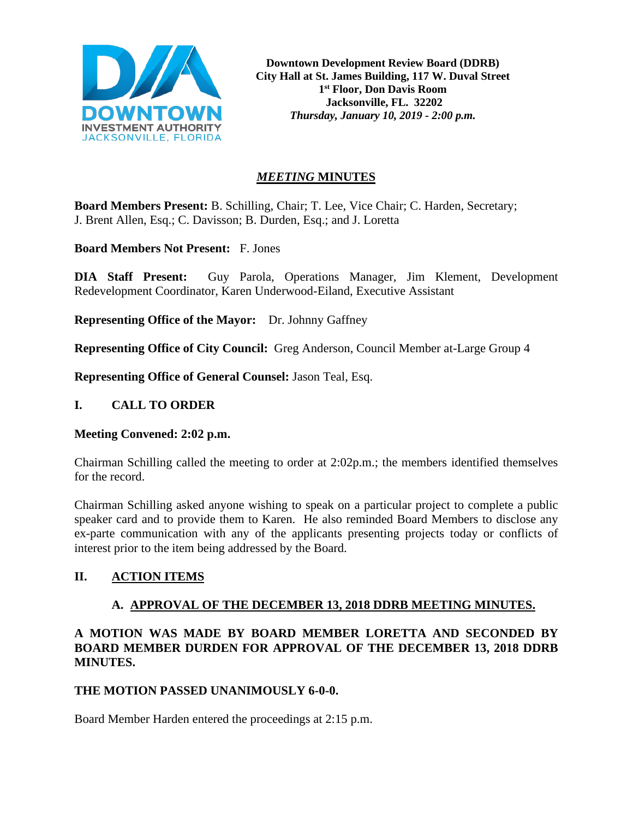

**Downtown Development Review Board (DDRB) City Hall at St. James Building, 117 W. Duval Street 1st Floor, Don Davis Room Jacksonville, FL. 32202** *Thursday, January 10, 2019 - 2:00 p.m.*

# *MEETING* **MINUTES**

**Board Members Present:** B. Schilling, Chair; T. Lee, Vice Chair; C. Harden, Secretary; J. Brent Allen, Esq.; C. Davisson; B. Durden, Esq.; and J. Loretta

**Board Members Not Present:** F. Jones

**DIA Staff Present:** Guy Parola, Operations Manager, Jim Klement, Development Redevelopment Coordinator, Karen Underwood-Eiland, Executive Assistant

**Representing Office of the Mayor:** Dr. Johnny Gaffney

**Representing Office of City Council:** Greg Anderson, Council Member at-Large Group 4

**Representing Office of General Counsel:** Jason Teal, Esq.

## **I. CALL TO ORDER**

#### **Meeting Convened: 2:02 p.m.**

Chairman Schilling called the meeting to order at 2:02p.m.; the members identified themselves for the record.

Chairman Schilling asked anyone wishing to speak on a particular project to complete a public speaker card and to provide them to Karen. He also reminded Board Members to disclose any ex-parte communication with any of the applicants presenting projects today or conflicts of interest prior to the item being addressed by the Board.

# **II. ACTION ITEMS**

# **A. APPROVAL OF THE DECEMBER 13, 2018 DDRB MEETING MINUTES.**

# **A MOTION WAS MADE BY BOARD MEMBER LORETTA AND SECONDED BY BOARD MEMBER DURDEN FOR APPROVAL OF THE DECEMBER 13, 2018 DDRB MINUTES.**

#### **THE MOTION PASSED UNANIMOUSLY 6-0-0.**

Board Member Harden entered the proceedings at 2:15 p.m.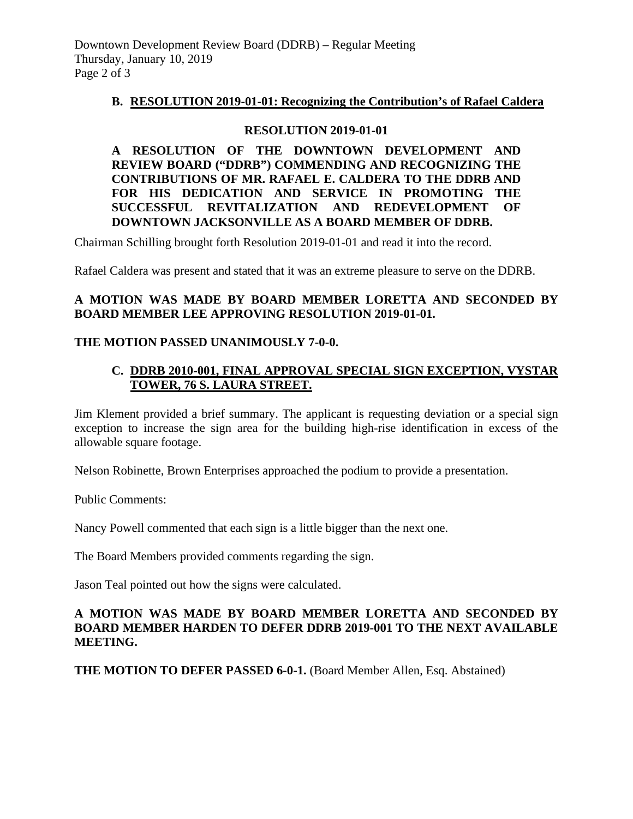### **B. RESOLUTION 2019-01-01: Recognizing the Contribution's of Rafael Caldera**

#### **RESOLUTION 2019-01-01**

**A RESOLUTION OF THE DOWNTOWN DEVELOPMENT AND REVIEW BOARD ("DDRB") COMMENDING AND RECOGNIZING THE CONTRIBUTIONS OF MR. RAFAEL E. CALDERA TO THE DDRB AND FOR HIS DEDICATION AND SERVICE IN PROMOTING THE SUCCESSFUL REVITALIZATION AND REDEVELOPMENT OF DOWNTOWN JACKSONVILLE AS A BOARD MEMBER OF DDRB.**

Chairman Schilling brought forth Resolution 2019-01-01 and read it into the record.

Rafael Caldera was present and stated that it was an extreme pleasure to serve on the DDRB.

## **A MOTION WAS MADE BY BOARD MEMBER LORETTA AND SECONDED BY BOARD MEMBER LEE APPROVING RESOLUTION 2019-01-01.**

## **THE MOTION PASSED UNANIMOUSLY 7-0-0.**

## **C. DDRB 2010-001, FINAL APPROVAL SPECIAL SIGN EXCEPTION, VYSTAR TOWER, 76 S. LAURA STREET.**

Jim Klement provided a brief summary. The applicant is requesting deviation or a special sign exception to increase the sign area for the building high-rise identification in excess of the allowable square footage.

Nelson Robinette, Brown Enterprises approached the podium to provide a presentation.

Public Comments:

Nancy Powell commented that each sign is a little bigger than the next one.

The Board Members provided comments regarding the sign.

Jason Teal pointed out how the signs were calculated.

## **A MOTION WAS MADE BY BOARD MEMBER LORETTA AND SECONDED BY BOARD MEMBER HARDEN TO DEFER DDRB 2019-001 TO THE NEXT AVAILABLE MEETING.**

**THE MOTION TO DEFER PASSED 6-0-1.** (Board Member Allen, Esq. Abstained)